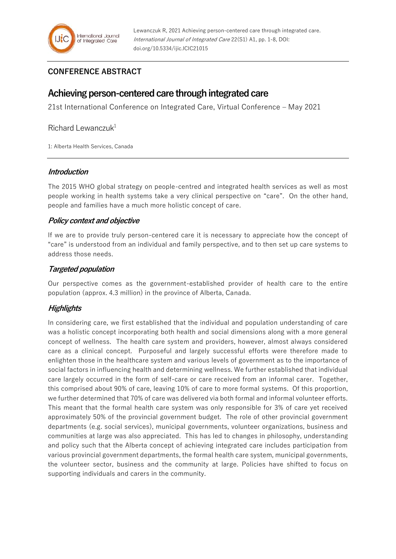# **CONFERENCE ABSTRACT**

# **Achieving person-centered care through integrated care**

21st International Conference on Integrated Care, Virtual Conference – May 2021

## Richard Lewanczuk $1$

1: Alberta Health Services, Canada

#### **Introduction**

The 2015 WHO global strategy on people-centred and integrated health services as well as most people working in health systems take a very clinical perspective on "care". On the other hand, people and families have a much more holistic concept of care.

## **Policy context and objective**

If we are to provide truly person-centered care it is necessary to appreciate how the concept of "care" is understood from an individual and family perspective, and to then set up care systems to address those needs.

## **Targeted population**

Our perspective comes as the government-established provider of health care to the entire population (approx. 4.3 million) in the province of Alberta, Canada.

## **Highlights**

In considering care, we first established that the individual and population understanding of care was a holistic concept incorporating both health and social dimensions along with a more general concept of wellness. The health care system and providers, however, almost always considered care as a clinical concept. Purposeful and largely successful efforts were therefore made to enlighten those in the healthcare system and various levels of government as to the importance of social factors in influencing health and determining wellness. We further established that individual care largely occurred in the form of self-care or care received from an informal carer. Together, this comprised about 90% of care, leaving 10% of care to more formal systems. Of this proportion, we further determined that 70% of care was delivered via both formal and informal volunteer efforts. This meant that the formal health care system was only responsible for 3% of care yet received approximately 50% of the provincial government budget. The role of other provincial government departments (e.g. social services), municipal governments, volunteer organizations, business and communities at large was also appreciated. This has led to changes in philosophy, understanding and policy such that the Alberta concept of achieving integrated care includes participation from various provincial government departments, the formal health care system, municipal governments, the volunteer sector, business and the community at large. Policies have shifted to focus on supporting individuals and carers in the community.